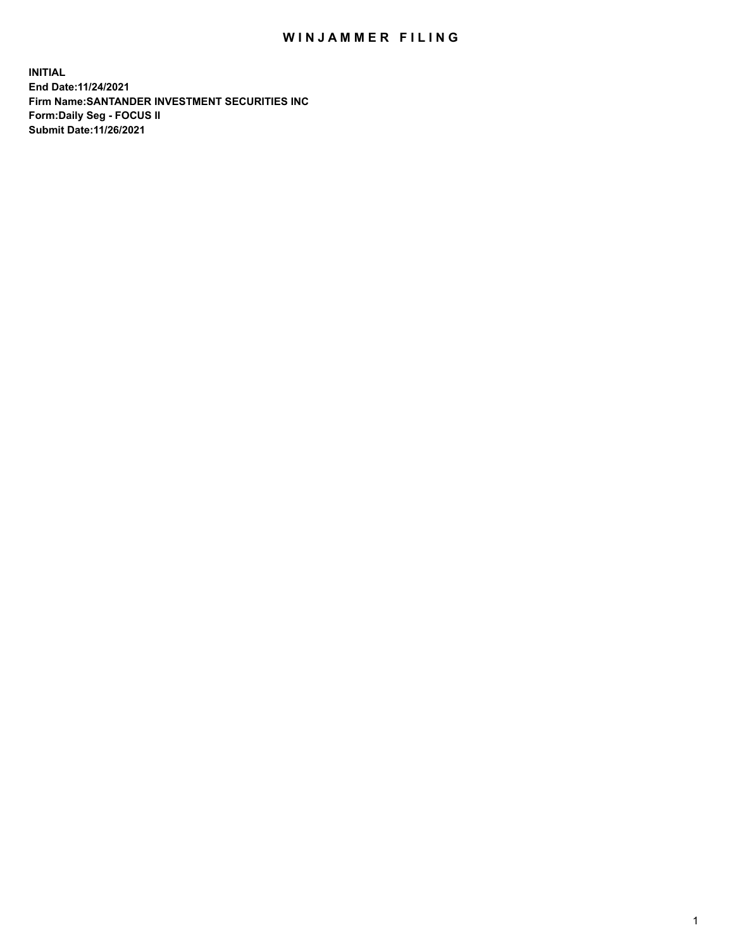## WIN JAMMER FILING

**INITIAL End Date:11/24/2021 Firm Name:SANTANDER INVESTMENT SECURITIES INC Form:Daily Seg - FOCUS II Submit Date:11/26/2021**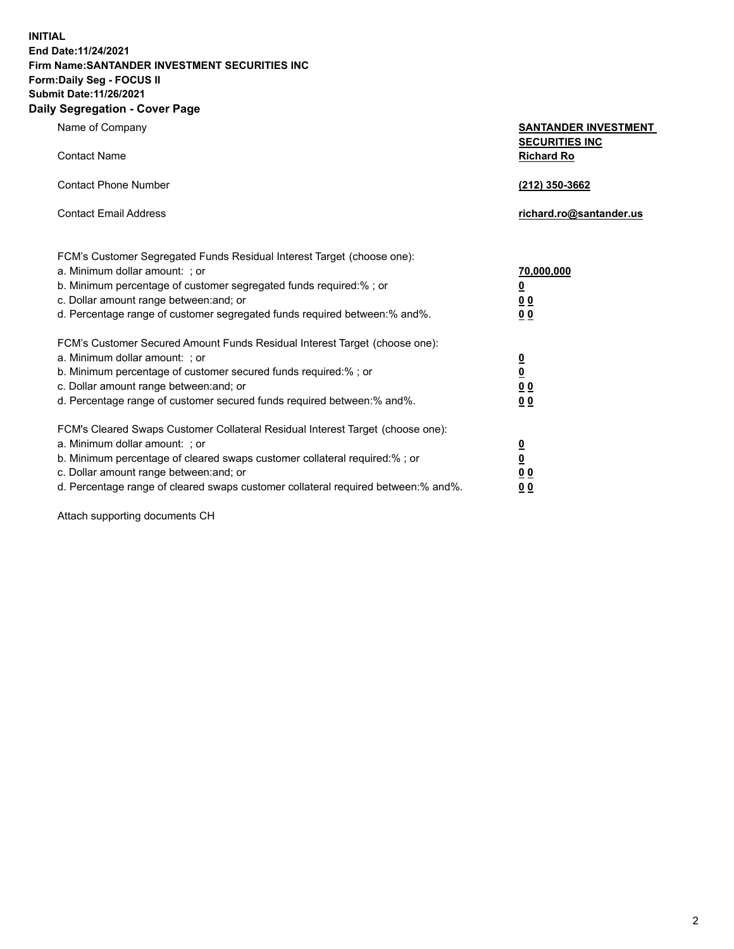**INITIAL End Date:11/24/2021 Firm Name:SANTANDER INVESTMENT SECURITIES INC Form:Daily Seg - FOCUS II Submit Date:11/26/2021 Daily Segregation - Cover Page**

| $\gamma$ ocgi cganon - oo $\gamma$ or - ago                                       |                                                      |
|-----------------------------------------------------------------------------------|------------------------------------------------------|
| Name of Company                                                                   | <b>SANTANDER INVESTMENT</b><br><b>SECURITIES INC</b> |
| <b>Contact Name</b>                                                               | <b>Richard Ro</b>                                    |
| <b>Contact Phone Number</b>                                                       | (212) 350-3662                                       |
| <b>Contact Email Address</b>                                                      | richard.ro@santander.us                              |
| FCM's Customer Segregated Funds Residual Interest Target (choose one):            |                                                      |
| a. Minimum dollar amount: ; or                                                    | 70,000,000                                           |
| b. Minimum percentage of customer segregated funds required:%; or                 | <u>0</u>                                             |
| c. Dollar amount range between: and; or                                           | 00                                                   |
| d. Percentage range of customer segregated funds required between:% and%.         | 0 <sub>0</sub>                                       |
| FCM's Customer Secured Amount Funds Residual Interest Target (choose one):        |                                                      |
| a. Minimum dollar amount: ; or                                                    | $\frac{0}{0}$                                        |
| b. Minimum percentage of customer secured funds required:%; or                    |                                                      |
| c. Dollar amount range between: and; or                                           | 0 <sub>0</sub>                                       |
| d. Percentage range of customer secured funds required between: % and %.          | 0 <sub>0</sub>                                       |
| FCM's Cleared Swaps Customer Collateral Residual Interest Target (choose one):    |                                                      |
| a. Minimum dollar amount: ; or                                                    | $\frac{0}{0}$                                        |
| b. Minimum percentage of cleared swaps customer collateral required:% ; or        |                                                      |
| c. Dollar amount range between: and; or                                           | 0 <sub>0</sub>                                       |
| d. Percentage range of cleared swaps customer collateral required between:% and%. | 0 <sub>0</sub>                                       |

Attach supporting documents CH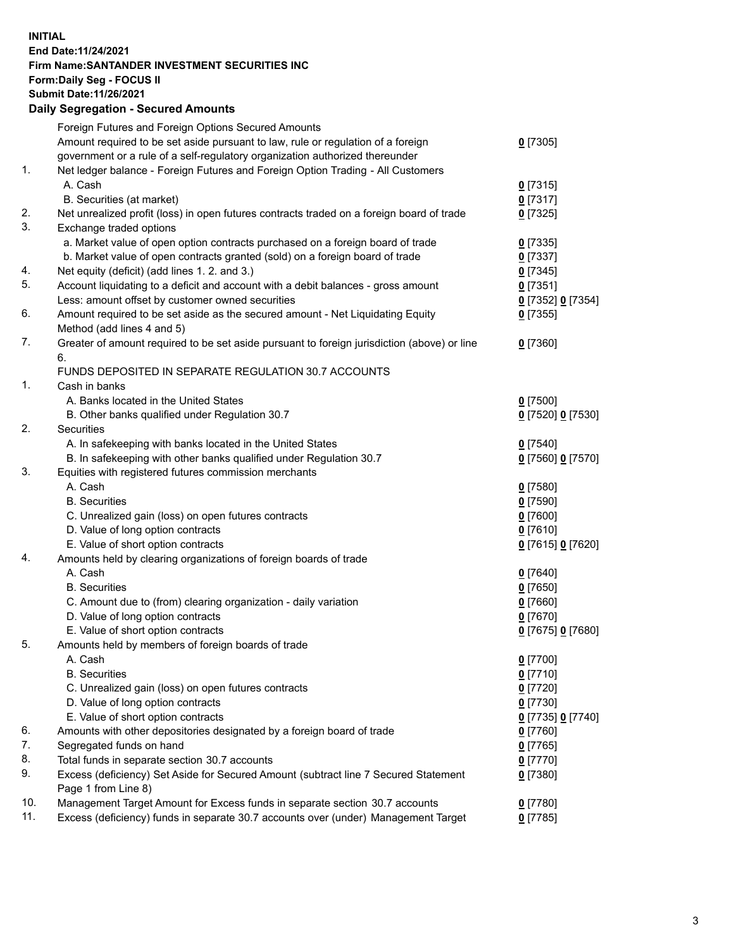## **INITIAL End Date:11/24/2021 Firm Name:SANTANDER INVESTMENT SECURITIES INC Form:Daily Seg - FOCUS II Submit Date:11/26/2021 Daily Segregation - Secured Amounts**

|     | Foreign Futures and Foreign Options Secured Amounts                                         |                   |
|-----|---------------------------------------------------------------------------------------------|-------------------|
|     | Amount required to be set aside pursuant to law, rule or regulation of a foreign            | $0$ [7305]        |
|     | government or a rule of a self-regulatory organization authorized thereunder                |                   |
| 1.  | Net ledger balance - Foreign Futures and Foreign Option Trading - All Customers             |                   |
|     | A. Cash                                                                                     | $0$ [7315]        |
|     | B. Securities (at market)                                                                   | $0$ [7317]        |
| 2.  | Net unrealized profit (loss) in open futures contracts traded on a foreign board of trade   | $0$ [7325]        |
| 3.  | Exchange traded options                                                                     |                   |
|     | a. Market value of open option contracts purchased on a foreign board of trade              | $0$ [7335]        |
|     | b. Market value of open contracts granted (sold) on a foreign board of trade                | $0$ [7337]        |
| 4.  | Net equity (deficit) (add lines 1. 2. and 3.)                                               | $0$ [7345]        |
| 5.  | Account liquidating to a deficit and account with a debit balances - gross amount           | $0$ [7351]        |
|     | Less: amount offset by customer owned securities                                            | 0 [7352] 0 [7354] |
| 6.  | Amount required to be set aside as the secured amount - Net Liquidating Equity              | $0$ [7355]        |
|     | Method (add lines 4 and 5)                                                                  |                   |
| 7.  | Greater of amount required to be set aside pursuant to foreign jurisdiction (above) or line | $0$ [7360]        |
|     | 6.                                                                                          |                   |
|     | FUNDS DEPOSITED IN SEPARATE REGULATION 30.7 ACCOUNTS                                        |                   |
| 1.  | Cash in banks                                                                               |                   |
|     | A. Banks located in the United States                                                       | $0$ [7500]        |
|     | B. Other banks qualified under Regulation 30.7                                              | 0 [7520] 0 [7530] |
| 2.  | Securities                                                                                  |                   |
|     | A. In safekeeping with banks located in the United States                                   | $0$ [7540]        |
|     | B. In safekeeping with other banks qualified under Regulation 30.7                          | 0 [7560] 0 [7570] |
| 3.  | Equities with registered futures commission merchants                                       |                   |
|     | A. Cash                                                                                     | $0$ [7580]        |
|     | <b>B.</b> Securities                                                                        | $0$ [7590]        |
|     | C. Unrealized gain (loss) on open futures contracts                                         | $0$ [7600]        |
|     | D. Value of long option contracts                                                           | $0$ [7610]        |
|     | E. Value of short option contracts                                                          | 0 [7615] 0 [7620] |
| 4.  | Amounts held by clearing organizations of foreign boards of trade                           |                   |
|     | A. Cash                                                                                     | $0$ [7640]        |
|     | <b>B.</b> Securities                                                                        | $0$ [7650]        |
|     | C. Amount due to (from) clearing organization - daily variation                             | $0$ [7660]        |
|     | D. Value of long option contracts                                                           | $0$ [7670]        |
|     | E. Value of short option contracts                                                          | 0 [7675] 0 [7680] |
| 5.  | Amounts held by members of foreign boards of trade                                          |                   |
|     | A. Cash                                                                                     | $0$ [7700]        |
|     | <b>B.</b> Securities                                                                        | $0$ [7710]        |
|     | C. Unrealized gain (loss) on open futures contracts                                         | $0$ [7720]        |
|     | D. Value of long option contracts                                                           | $0$ [7730]        |
|     | E. Value of short option contracts                                                          | 0 [7735] 0 [7740] |
| 6.  | Amounts with other depositories designated by a foreign board of trade                      | 0 [7760]          |
| 7.  | Segregated funds on hand                                                                    | $0$ [7765]        |
| 8.  | Total funds in separate section 30.7 accounts                                               | 0 [7770]          |
| 9.  | Excess (deficiency) Set Aside for Secured Amount (subtract line 7 Secured Statement         | $0$ [7380]        |
|     | Page 1 from Line 8)                                                                         |                   |
| 10. | Management Target Amount for Excess funds in separate section 30.7 accounts                 | $0$ [7780]        |
| 11. | Excess (deficiency) funds in separate 30.7 accounts over (under) Management Target          | $0$ [7785]        |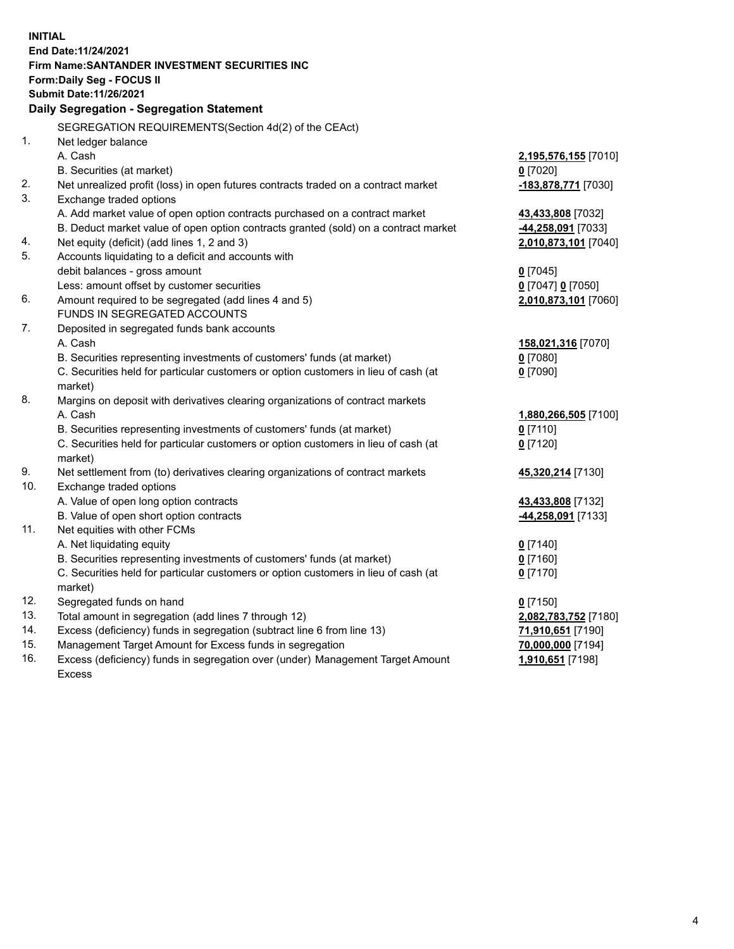| <b>INITIAL</b> |                                                                                            |                                        |  |  |  |  |
|----------------|--------------------------------------------------------------------------------------------|----------------------------------------|--|--|--|--|
|                | End Date: 11/24/2021                                                                       |                                        |  |  |  |  |
|                | Firm Name: SANTANDER INVESTMENT SECURITIES INC                                             |                                        |  |  |  |  |
|                | Form: Daily Seg - FOCUS II                                                                 |                                        |  |  |  |  |
|                | <b>Submit Date: 11/26/2021</b>                                                             |                                        |  |  |  |  |
|                | Daily Segregation - Segregation Statement                                                  |                                        |  |  |  |  |
|                |                                                                                            |                                        |  |  |  |  |
| 1.             | SEGREGATION REQUIREMENTS(Section 4d(2) of the CEAct)                                       |                                        |  |  |  |  |
|                | Net ledger balance<br>A. Cash                                                              |                                        |  |  |  |  |
|                |                                                                                            | 2,195,576,155 [7010]                   |  |  |  |  |
|                | B. Securities (at market)                                                                  | $0$ [7020]                             |  |  |  |  |
| 2.<br>3.       | Net unrealized profit (loss) in open futures contracts traded on a contract market         | -183,878,771 [7030]                    |  |  |  |  |
|                | Exchange traded options                                                                    |                                        |  |  |  |  |
|                | A. Add market value of open option contracts purchased on a contract market                | 43,433,808 [7032]                      |  |  |  |  |
|                | B. Deduct market value of open option contracts granted (sold) on a contract market        | 44,258,091 [7033]                      |  |  |  |  |
| 4.<br>5.       | Net equity (deficit) (add lines 1, 2 and 3)                                                | 2,010,873,101 [7040]                   |  |  |  |  |
|                | Accounts liquidating to a deficit and accounts with                                        |                                        |  |  |  |  |
|                | debit balances - gross amount                                                              | $0$ [7045]                             |  |  |  |  |
|                | Less: amount offset by customer securities                                                 | 0 [7047] 0 [7050]                      |  |  |  |  |
| 6.             | Amount required to be segregated (add lines 4 and 5)                                       | 2,010,873,101 [7060]                   |  |  |  |  |
| 7.             | FUNDS IN SEGREGATED ACCOUNTS                                                               |                                        |  |  |  |  |
|                | Deposited in segregated funds bank accounts                                                |                                        |  |  |  |  |
|                | A. Cash                                                                                    | 158,021,316 [7070]                     |  |  |  |  |
|                | B. Securities representing investments of customers' funds (at market)                     | $0$ [7080]                             |  |  |  |  |
|                | C. Securities held for particular customers or option customers in lieu of cash (at        | $0$ [7090]                             |  |  |  |  |
| 8.             | market)                                                                                    |                                        |  |  |  |  |
|                | Margins on deposit with derivatives clearing organizations of contract markets<br>A. Cash  |                                        |  |  |  |  |
|                |                                                                                            | 1,880,266,505 [7100]                   |  |  |  |  |
|                | B. Securities representing investments of customers' funds (at market)                     | $0$ [7110]                             |  |  |  |  |
|                | C. Securities held for particular customers or option customers in lieu of cash (at        | $0$ [7120]                             |  |  |  |  |
| 9.             | market)<br>Net settlement from (to) derivatives clearing organizations of contract markets |                                        |  |  |  |  |
| 10.            | Exchange traded options                                                                    | 45,320,214 [7130]                      |  |  |  |  |
|                | A. Value of open long option contracts                                                     | 43,433,808 [7132]                      |  |  |  |  |
|                | B. Value of open short option contracts                                                    |                                        |  |  |  |  |
| 11.            | Net equities with other FCMs                                                               | -44,258,091 [7133]                     |  |  |  |  |
|                | A. Net liquidating equity                                                                  | $0$ [7140]                             |  |  |  |  |
|                | B. Securities representing investments of customers' funds (at market)                     | $0$ [7160]                             |  |  |  |  |
|                | C. Securities held for particular customers or option customers in lieu of cash (at        | $0$ [7170]                             |  |  |  |  |
|                | market)                                                                                    |                                        |  |  |  |  |
| 12.            | Segregated funds on hand                                                                   | $0$ [7150]                             |  |  |  |  |
| 13.            | Total amount in segregation (add lines 7 through 12)                                       | 2,082,783,752 [7180]                   |  |  |  |  |
| 14.            | Excess (deficiency) funds in segregation (subtract line 6 from line 13)                    |                                        |  |  |  |  |
| 15.            | Management Target Amount for Excess funds in segregation                                   | 71,910,651 [7190]<br>70,000,000 [7194] |  |  |  |  |
| 16.            | Excess (deficiency) funds in segregation over (under) Management Target Amount             | 1,910,651 [7198]                       |  |  |  |  |
|                | <b>Excess</b>                                                                              |                                        |  |  |  |  |
|                |                                                                                            |                                        |  |  |  |  |